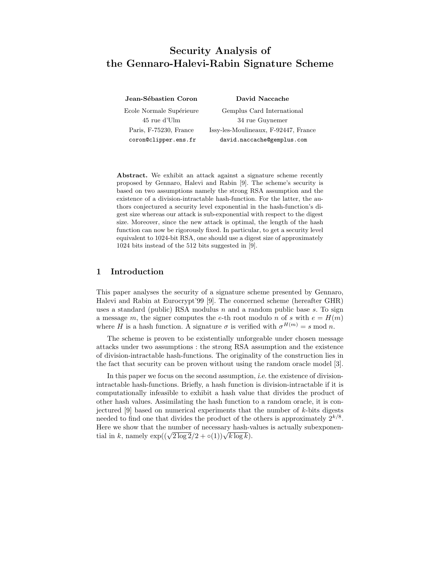# Security Analysis of the Gennaro-Halevi-Rabin Signature Scheme

Jean-Sébastien Coron David Naccache Ecole Normale Supérieure Gemplus Card International 45 rue d'Ulm 34 rue Guynemer Paris, F-75230, France Issy-les-Moulineaux, F-92447, France coron@clipper.ens.fr david.naccache@gemplus.com

Abstract. We exhibit an attack against a signature scheme recently proposed by Gennaro, Halevi and Rabin [9]. The scheme's security is based on two assumptions namely the strong RSA assumption and the existence of a division-intractable hash-function. For the latter, the authors conjectured a security level exponential in the hash-function's digest size whereas our attack is sub-exponential with respect to the digest size. Moreover, since the new attack is optimal, the length of the hash function can now be rigorously fixed. In particular, to get a security level equivalent to 1024-bit RSA, one should use a digest size of approximately 1024 bits instead of the 512 bits suggested in [9].

### 1 Introduction

This paper analyses the security of a signature scheme presented by Gennaro, Halevi and Rabin at Eurocrypt'99 [9]. The concerned scheme (hereafter GHR) uses a standard (public) RSA modulus  $n$  and a random public base  $s$ . To sign a message m, the signer computes the e-th root modulo n of s with  $e = H(m)$ where H is a hash function. A signature  $\sigma$  is verified with  $\sigma^{H(m)} = s \mod n$ .

The scheme is proven to be existentially unforgeable under chosen message attacks under two assumptions : the strong RSA assumption and the existence of division-intractable hash-functions. The originality of the construction lies in the fact that security can be proven without using the random oracle model [3].

In this paper we focus on the second assumption, i.e. the existence of divisionintractable hash-functions. Briefly, a hash function is division-intractable if it is computationally infeasible to exhibit a hash value that divides the product of other hash values. Assimilating the hash function to a random oracle, it is conjectured [9] based on numerical experiments that the number of k-bits digests needed to find one that divides the product of the others is approximately  $2^{k/8}$ . Here we show that the number of necessary hash-values is actually subexponential in k, namely  $\exp((\sqrt{2 \log 2}/2 + \circ(1))\sqrt{k \log k})$ .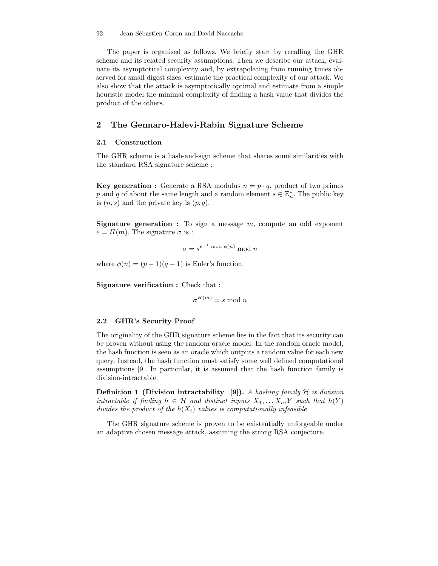92 Jean-Sébastien Coron and David Naccache

The paper is organised as follows. We briefly start by recalling the GHR scheme and its related security assumptions. Then we describe our attack, evaluate its asymptotical complexity and, by extrapolating from running times observed for small digest sizes, estimate the practical complexity of our attack. We also show that the attack is asymptotically optimal and estimate from a simple heuristic model the minimal complexity of finding a hash value that divides the product of the others.

## 2 The Gennaro-Halevi-Rabin Signature Scheme

#### 2.1 Construction

The GHR scheme is a hash-and-sign scheme that shares some similarities with the standard RSA signature scheme :

**Key generation :** Generate a RSA modulus  $n = p \cdot q$ , product of two primes p and q of about the same length and a random element  $s \in \mathbb{Z}_n^*$ . The public key is  $(n, s)$  and the private key is  $(p, q)$ .

**Signature generation :** To sign a message  $m$ , compute an odd exponent  $e = H(m)$ . The signature  $\sigma$  is :

$$
\sigma = s^{e^{-1} \bmod{\phi(n)}} \bmod{n}
$$

where  $\phi(n) = (p-1)(q-1)$  is Euler's function.

Signature verification : Check that :

 $\sigma^{H(m)} = s \mod n$ 

#### 2.2 GHR's Security Proof

The originality of the GHR signature scheme lies in the fact that its security can be proven without using the random oracle model. In the random oracle model, the hash function is seen as an oracle which outputs a random value for each new query. Instead, the hash function must satisfy some well defined computational assumptions [9]. In particular, it is assumed that the hash function family is division-intractable.

**Definition 1 (Division intractability [9]).** A hashing family  $H$  is division intractable if finding  $h \in \mathcal{H}$  and distinct inputs  $X_1, \ldots, X_n, Y$  such that  $h(Y)$ divides the product of the  $h(X_i)$  values is computationally infeasible.

The GHR signature scheme is proven to be existentially unforgeable under an adaptive chosen message attack, assuming the strong RSA conjecture.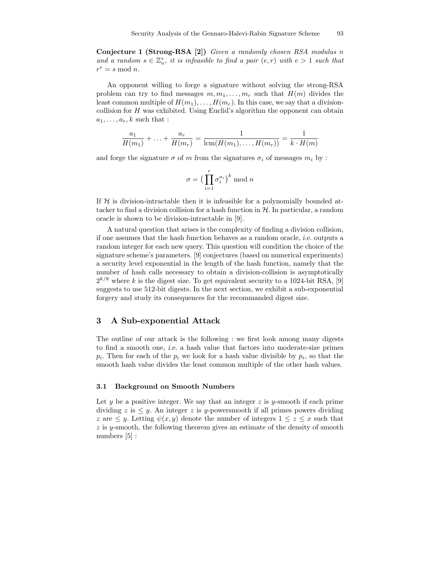Conjecture 1 (Strong-RSA [2]) Given a randomly chosen RSA modulus n and a random  $s \in \mathbb{Z}_n^*$ , it is infeasible to find a pair  $(e,r)$  with  $e > 1$  such that  $r^e = s \mod n$ .

An opponent willing to forge a signature without solving the strong-RSA problem can try to find messages  $m, m_1, \ldots, m_r$  such that  $H(m)$  divides the least common multiple of  $H(m_1), \ldots, H(m_r)$ . In this case, we say that a divisioncollision for H was exhibited. Using Euclid's algorithm the opponent can obtain  $a_1, \ldots, a_r, k$  such that :

$$
\frac{a_1}{H(m_1)} + \ldots + \frac{a_r}{H(m_r)} = \frac{1}{\text{lcm}(H(m_1), \ldots, H(m_r))} = \frac{1}{k \cdot H(m)}
$$

and forge the signature  $\sigma$  of m from the signatures  $\sigma_i$  of messages  $m_i$  by :

$$
\sigma = \big(\prod_{i=1}^r \sigma_i^{a_i}\big)^k \bmod n
$$

If  $H$  is division-intractable then it is infeasible for a polynomially bounded attacker to find a division collision for a hash function in  $H$ . In particular, a random oracle is shown to be division-intractable in [9].

A natural question that arises is the complexity of finding a division collision, if one assumes that the hash function behaves as a random oracle, i.e. outputs a random integer for each new query. This question will condition the choice of the signature scheme's parameters. [9] conjectures (based on numerical experiments) a security level exponential in the length of the hash function, namely that the number of hash calls necessary to obtain a division-collision is asymptotically  $2^{k/8}$  where k is the digest size. To get equivalent security to a 1024-bit RSA, [9] suggests to use 512-bit digests. In the next section, we exhibit a sub-exponential forgery and study its consequences for the recommanded digest size.

#### 3 A Sub-exponential Attack

The outline of our attack is the following : we first look among many digests to find a smooth one, i.e. a hash value that factors into moderate-size primes  $p_i$ . Then for each of the  $p_i$  we look for a hash value divisible by  $p_i$ , so that the smooth hash value divides the least common multiple of the other hash values.

#### 3.1 Background on Smooth Numbers

Let y be a positive integer. We say that an integer z is y-smooth if each prime dividing  $z$  is  $\leq y$ . An integer  $z$  is  $y$ -powersmooth if all primes powers dividing z are  $\leq y$ . Letting  $\psi(x, y)$  denote the number of integers  $1 \leq z \leq x$  such that z is y-smooth, the following theorem gives an estimate of the density of smooth numbers [5] :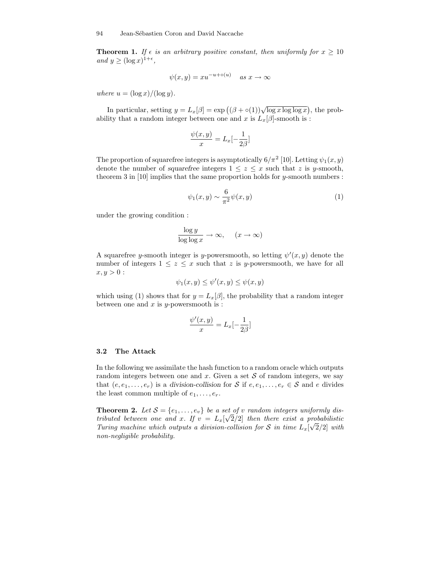**Theorem 1.** If  $\epsilon$  is an arbitrary positive constant, then uniformly for  $x \ge 10$ and  $y \geq (\log x)^{1+\epsilon}$ ,

$$
\psi(x,y) = xu^{-u + o(u)} \quad as \; x \to \infty
$$

where  $u = (\log x)/(\log y)$ .

In particular, setting  $y = L_x[\beta] = \exp((\beta + \circ(1))\sqrt{\log x \log \log x})$ , the probability that a random integer between one and x is  $L_x[\beta]$ -smooth is :

$$
\frac{\psi(x,y)}{x} = L_x[-\frac{1}{2\beta}]
$$

The proportion of squarefree integers is asymptotically  $6/\pi^2$  [10]. Letting  $\psi_1(x, y)$ denote the number of squarefree integers  $1 \leq z \leq x$  such that z is y-smooth, theorem 3 in  $[10]$  implies that the same proportion holds for y-smooth numbers :

$$
\psi_1(x,y) \sim \frac{6}{\pi^2} \psi(x,y) \tag{1}
$$

under the growing condition :

$$
\frac{\log y}{\log \log x} \to \infty, \quad (x \to \infty)
$$

A squarefree y-smooth integer is y-powersmooth, so letting  $\psi'(x, y)$  denote the number of integers  $1 \leq z \leq x$  such that z is y-powersmooth, we have for all  $x, y > 0:$ 

$$
\psi_1(x, y) \le \psi'(x, y) \le \psi(x, y)
$$

which using (1) shows that for  $y = L_x[\beta]$ , the probability that a random integer between one and  $x$  is  $y$ -powersmooth is:

$$
\frac{\psi'(x,y)}{x} = L_x[-\frac{1}{2\beta}]
$$

#### 3.2 The Attack

In the following we assimilate the hash function to a random oracle which outputs random integers between one and x. Given a set  $S$  of random integers, we say that  $(e, e_1, \ldots, e_r)$  is a division-collision for S if  $e, e_1, \ldots, e_r \in S$  and e divides the least common multiple of  $e_1, \ldots, e_r$ .

**Theorem 2.** Let  $S = \{e_1, \ldots, e_v\}$  be a set of v random integers uniformly distributed between one and x. If  $v = L_x[\sqrt{2}/2]$  then there exist a probabilistic Turing machine which outputs a division-collision for S in time  $L_x[\sqrt{2}/2]$  with non-negligible probability.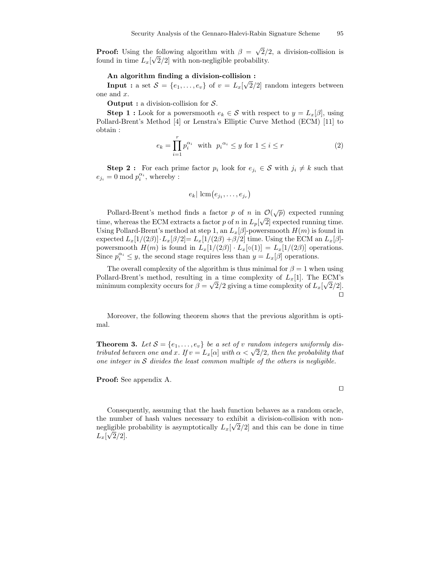**Proof:** Using the following algorithm with  $\beta = \sqrt{2}/2$ , a division-collision is found in time  $L_x[\sqrt{2}/2]$  with non-negligible probability.

#### An algorithm finding a division-collision :

**Input :** a set  $S = \{e_1, \ldots, e_v\}$  of  $v = L_x[\sqrt{2}/2]$  random integers between one and x.

**Output :** a division-collision for  $S$ .

**Step 1 :** Look for a powersmooth  $e_k \in \mathcal{S}$  with respect to  $y = L_x[\beta]$ , using Pollard-Brent's Method [4] or Lenstra's Elliptic Curve Method (ECM) [11] to obtain :

$$
e_k = \prod_{i=1}^r p_i^{\alpha_i} \quad \text{with} \quad p_i^{\alpha_i} \le y \text{ for } 1 \le i \le r \tag{2}
$$

**Step 2**: For each prime factor  $p_i$  look for  $e_{j_i} \in S$  with  $j_i \neq k$  such that  $e_{j_i} = 0 \mod p_i^{\alpha_i}$ , whereby :

$$
e_k | \operatorname{lcm}(e_{j_1}, \ldots, e_{j_r})
$$

Pollard-Brent's method finds a factor p of n in  $\mathcal{O}(\sqrt{p})$  expected running time, whereas the ECM extracts a factor p of n in  $L_p[\sqrt{2}]$  expected running time. Using Pollard-Brent's method at step 1, an  $L_x[\beta]$ -powersmooth  $H(m)$  is found in expected  $L_x[1/(2\beta)] \cdot L_x[\beta/2] = L_x[1/(2\beta) + \beta/2]$  time. Using the ECM an  $L_x[\beta]$ powersmooth  $H(m)$  is found in  $L_x[1/(2\beta)] \cdot L_x[\circ(1)] = L_x[1/(2\beta)]$  operations. Since  $p_i^{\alpha_i} \leq y$ , the second stage requires less than  $y = L_x[\beta]$  operations.

The overall complexity of the algorithm is thus minimal for  $\beta = 1$  when using Pollard-Brent's method, resulting in a time complexity of  $L_x[1]$ . The ECM's minimum complexity occurs for  $\beta = \sqrt{2}/2$  giving a time complexity of  $L_x[\sqrt{2}/2]$ .  $\Box$ 

Moreover, the following theorem shows that the previous algorithm is optimal.

**Theorem 3.** Let  $S = \{e_1, \ldots, e_v\}$  be a set of v random integers uniformly distributed between one and x. If  $v = L_x[\alpha]$  with  $\alpha < \sqrt{2}/2$ , then the probability that one integer in  $S$  divides the least common multiple of the others is negligible.

Proof: See appendix A.

Consequently, assuming that the hash function behaves as a random oracle, the number of hash values necessary to exhibit a division-collision with nonnegligible probability is asymptotically  $L_x[\sqrt{2}/2]$  and this can be done in time  $L_x[\sqrt{2}/2].$ 

$$
\Box
$$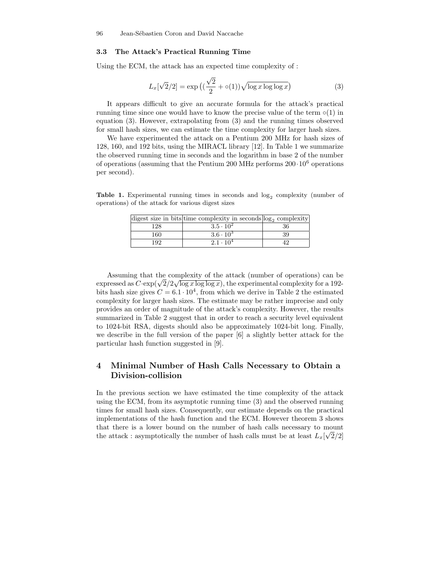#### 3.3 The Attack's Practical Running Time

Using the ECM, the attack has an expected time complexity of :

$$
L_x[\sqrt{2}/2] = \exp\left((\frac{\sqrt{2}}{2} + \circ(1))\sqrt{\log x \log \log x}\right)
$$
 (3)

It appears difficult to give an accurate formula for the attack's practical running time since one would have to know the precise value of the term  $\circ(1)$  in equation (3). However, extrapolating from (3) and the running times observed for small hash sizes, we can estimate the time complexity for larger hash sizes.

We have experimented the attack on a Pentium 200 MHz for hash sizes of 128, 160, and 192 bits, using the MIRACL library [12]. In Table 1 we summarize the observed running time in seconds and the logarithm in base 2 of the number of operations (assuming that the Pentium 200 MHz performs  $200 \cdot 10^6$  operations per second).

**Table 1.** Experimental running times in seconds and  $log_2$  complexity (number of operations) of the attack for various digest sizes

|     | digest size in bits time complexity in seconds $log_2$ complexity |    |
|-----|-------------------------------------------------------------------|----|
| 128 | $3.5 \cdot 10^{2}$                                                | 36 |
| 160 | $3.6 \cdot 10^3$                                                  | 39 |
| 192 | $2.1 \cdot 10^{4}$                                                |    |

Assuming that the complexity of the attack (number of operations) can be expressed as  $C \cdot \exp(\sqrt{2}/2\sqrt{\log x \log \log x})$ , the experimental complexity for a 192bits hash size gives  $C = 6.1 \cdot 10^4$ , from which we derive in Table 2 the estimated complexity for larger hash sizes. The estimate may be rather imprecise and only provides an order of magnitude of the attack's complexity. However, the results summarized in Table 2 suggest that in order to reach a security level equivalent to 1024-bit RSA, digests should also be approximately 1024-bit long. Finally, we describe in the full version of the paper [6] a slightly better attack for the particular hash function suggested in [9].

# 4 Minimal Number of Hash Calls Necessary to Obtain a Division-collision

In the previous section we have estimated the time complexity of the attack using the ECM, from its asymptotic running time (3) and the observed running times for small hash sizes. Consequently, our estimate depends on the practical implementations of the hash function and the ECM. However theorem 3 shows that there is a lower bound on the number of hash calls necessary to mount the attack : asymptotically the number of hash calls must be at least  $L_x[\sqrt{2}/2]$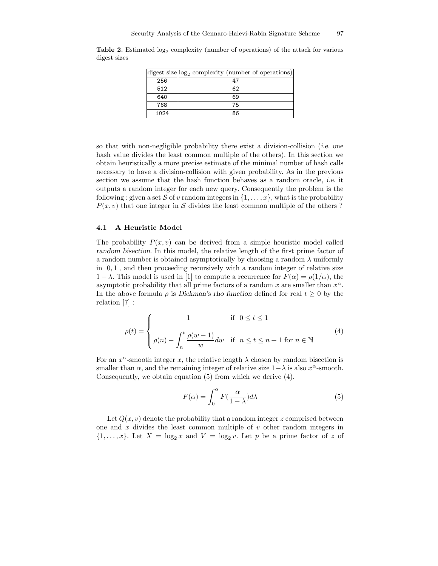|      | digest size $log_2$ complexity (number of operations) |
|------|-------------------------------------------------------|
| 256  | 47                                                    |
| 512  | 62                                                    |
| 640  | 69                                                    |
| 768  | 75                                                    |
| 1024 | 86                                                    |

**Table 2.** Estimated  $\log_2$  complexity (number of operations) of the attack for various digest sizes

so that with non-negligible probability there exist a division-collision (i.e. one hash value divides the least common multiple of the others). In this section we obtain heuristically a more precise estimate of the minimal number of hash calls necessary to have a division-collision with given probability. As in the previous section we assume that the hash function behaves as a random oracle, i.e. it outputs a random integer for each new query. Consequently the problem is the following : given a set S of v random integers in  $\{1, \ldots, x\}$ , what is the probability  $P(x, v)$  that one integer in S divides the least common multiple of the others ?

#### 4.1 A Heuristic Model

The probability  $P(x, v)$  can be derived from a simple heuristic model called random bisection. In this model, the relative length of the first prime factor of a random number is obtained asymptotically by choosing a random  $\lambda$  uniformly in  $[0, 1]$ , and then proceeding recursively with a random integer of relative size  $1 - \lambda$ . This model is used in [1] to compute a recurrence for  $F(\alpha) = \rho(1/\alpha)$ , the asymptotic probability that all prime factors of a random x are smaller than  $x^{\alpha}$ . In the above formula  $\rho$  is Dickman's rho function defined for real  $t \geq 0$  by the relation [7] :

$$
\rho(t) = \begin{cases}\n1 & \text{if } 0 \le t \le 1 \\
\rho(n) - \int_n^t \frac{\rho(w-1)}{w} dw & \text{if } n \le t \le n+1 \text{ for } n \in \mathbb{N}\n\end{cases}
$$
\n(4)

For an  $x^{\alpha}$ -smooth integer x, the relative length  $\lambda$  chosen by random bisection is smaller than  $\alpha$ , and the remaining integer of relative size  $1-\lambda$  is also  $x^{\alpha}$ -smooth. Consequently, we obtain equation (5) from which we derive (4).

$$
F(\alpha) = \int_0^{\alpha} F(\frac{\alpha}{1-\lambda}) d\lambda
$$
 (5)

Let  $Q(x, y)$  denote the probability that a random integer z comprised between one and  $x$  divides the least common multiple of  $v$  other random integers in  $\{1, \ldots, x\}$ . Let  $X = \log_2 x$  and  $V = \log_2 v$ . Let p be a prime factor of z of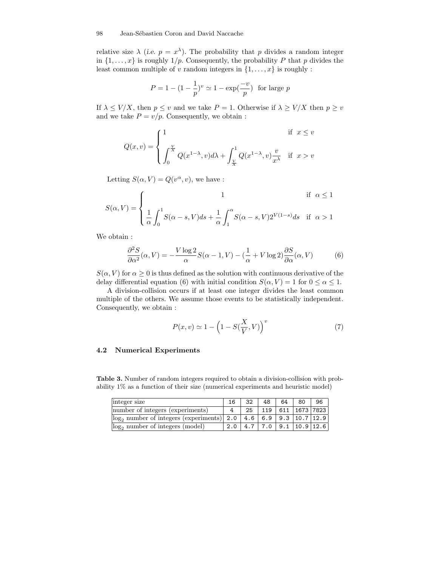relative size  $\lambda$  (*i.e.*  $p = x^{\lambda}$ ). The probability that p divides a random integer in  $\{1, \ldots, x\}$  is roughly  $1/p$ . Consequently, the probability P that p divides the least common multiple of v random integers in  $\{1, \ldots, x\}$  is roughly :

$$
P = 1 - (1 - \frac{1}{p})^v \simeq 1 - \exp(\frac{-v}{p})
$$
 for large p

If  $\lambda \leq V/X$ , then  $p \leq v$  and we take  $P = 1$ . Otherwise if  $\lambda \geq V/X$  then  $p \geq v$ and we take  $P = v/p$ . Consequently, we obtain :

$$
Q(x,v) = \begin{cases} 1 & \text{if } x \le v \\ \int_0^{\frac{V}{X}} Q(x^{1-\lambda}, v) d\lambda + \int_{\frac{V}{X}}^1 Q(x^{1-\lambda}, v) \frac{v}{x^{\lambda}} & \text{if } x > v \end{cases}
$$

Letting  $S(\alpha, V) = Q(v^{\alpha}, v)$ , we have :

$$
S(\alpha, V) = \begin{cases} 1 & \text{if } \alpha \le 1 \\ \frac{1}{\alpha} \int_0^1 S(\alpha - s, V) ds + \frac{1}{\alpha} \int_1^\alpha S(\alpha - s, V) 2^{V(1-s)} ds & \text{if } \alpha > 1 \end{cases}
$$

We obtain :

$$
\frac{\partial^2 S}{\partial \alpha^2}(\alpha, V) = -\frac{V \log 2}{\alpha} S(\alpha - 1, V) - \left(\frac{1}{\alpha} + V \log 2\right) \frac{\partial S}{\partial \alpha}(\alpha, V) \tag{6}
$$

 $S(\alpha, V)$  for  $\alpha \geq 0$  is thus defined as the solution with continuous derivative of the delay differential equation (6) with initial condition  $S(\alpha, V) = 1$  for  $0 \leq \alpha \leq 1$ .

A division-collision occurs if at least one integer divides the least common multiple of the others. We assume those events to be statistically independent. Consequently, we obtain :

$$
P(x,v) \simeq 1 - \left(1 - S(\frac{X}{V}, V)\right)^{v}
$$
\n<sup>(7)</sup>

#### 4.2 Numerical Experiments

Table 3. Number of random integers required to obtain a division-collision with probability 1% as a function of their size (numerical experiments and heuristic model)

| integer size                                                        | 16 | 32 | 48 | 64 I | 80                                    | 96 |
|---------------------------------------------------------------------|----|----|----|------|---------------------------------------|----|
| number of integers (experiments)                                    |    |    |    |      | 25   119   611   1673   7823          |    |
| $\log_2$ number of integers (experiments) 2.0 4.6 6.9 9.3 10.7 12.9 |    |    |    |      |                                       |    |
| $log_2$ number of integers $\overline{(model)}$                     |    |    |    |      | $2.0$   4.7   7.0   9.1   10.9   12.6 |    |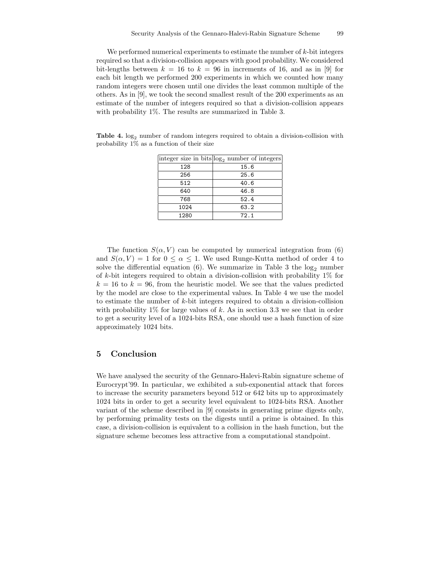We performed numerical experiments to estimate the number of  $k$ -bit integers required so that a division-collision appears with good probability. We considered bit-lengths between  $k = 16$  to  $k = 96$  in increments of 16, and as in [9] for each bit length we performed 200 experiments in which we counted how many random integers were chosen until one divides the least common multiple of the others. As in [9], we took the second smallest result of the 200 experiments as an estimate of the number of integers required so that a division-collision appears with probability 1%. The results are summarized in Table 3.

Table 4.  $log_2$  number of random integers required to obtain a division-collision with probability  $1\%$  as a function of their size

|      | integer size in bits $log_2$ number of integers |
|------|-------------------------------------------------|
| 128  | 15.6                                            |
| 256  | 25.6                                            |
| 512  | 40.6                                            |
| 640  | 46.8                                            |
| 768  | 52.4                                            |
| 1024 | 63.2                                            |
| 1280 | 72.1                                            |

The function  $S(\alpha, V)$  can be computed by numerical integration from (6) and  $S(\alpha, V) = 1$  for  $0 \leq \alpha \leq 1$ . We used Runge-Kutta method of order 4 to solve the differential equation (6). We summarize in Table 3 the  $log_2$  number of  $k$ -bit integers required to obtain a division-collision with probability 1% for  $k = 16$  to  $k = 96$ , from the heuristic model. We see that the values predicted by the model are close to the experimental values. In Table 4 we use the model to estimate the number of  $k$ -bit integers required to obtain a division-collision with probability  $1\%$  for large values of k. As in section 3.3 we see that in order to get a security level of a 1024-bits RSA, one should use a hash function of size approximately 1024 bits.

### 5 Conclusion

We have analysed the security of the Gennaro-Halevi-Rabin signature scheme of Eurocrypt'99. In particular, we exhibited a sub-exponential attack that forces to increase the security parameters beyond 512 or 642 bits up to approximately 1024 bits in order to get a security level equivalent to 1024-bits RSA. Another variant of the scheme described in [9] consists in generating prime digests only, by performing primality tests on the digests until a prime is obtained. In this case, a division-collision is equivalent to a collision in the hash function, but the signature scheme becomes less attractive from a computational standpoint.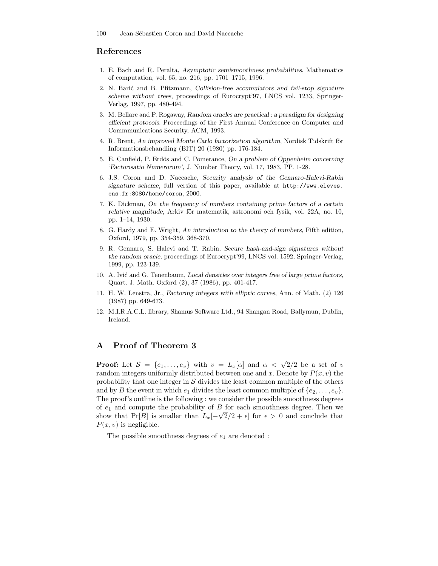### References

- 1. E. Bach and R. Peralta, Asymptotic semismoothness probabilities, Mathematics of computation, vol. 65, no. 216, pp. 1701–1715, 1996.
- 2. N. Barić and B. Pfitzmann, Collision-free accumulators and fail-stop signature scheme without trees, proceedings of Eurocrypt'97, LNCS vol. 1233, Springer-Verlag, 1997, pp. 480-494.
- 3. M. Bellare and P. Rogaway, Random oracles are practical : a paradigm for designing efficient protocols. Proceedings of the First Annual Conference on Computer and Commmunications Security, ACM, 1993.
- 4. R. Brent, An improved Monte Carlo factorization algorithm, Nordisk Tidskrift för Informationsbehandling (BIT) 20 (1980) pp. 176-184.
- 5. E. Canfield, P. Erdös and C. Pomerance, On a problem of Oppenheim concerning 'Factorisatio Numerorum', J. Number Theory, vol. 17, 1983, PP. 1-28.
- 6. J.S. Coron and D. Naccache, Security analysis of the Gennaro-Halevi-Rabin signature scheme, full version of this paper, available at http://www.eleves. ens.fr:8080/home/coron, 2000.
- 7. K. Dickman, On the frequency of numbers containing prime factors of a certain relative magnitude, Arkiv för matematik, astronomi och fysik, vol. 22A, no. 10, pp. 1–14, 1930.
- 8. G. Hardy and E. Wright, An introduction to the theory of numbers, Fifth edition, Oxford, 1979, pp. 354-359, 368-370.
- 9. R. Gennaro, S. Halevi and T. Rabin, Secure hash-and-sign signatures without the random oracle, proceedings of Eurocrypt'99, LNCS vol. 1592, Springer-Verlag, 1999, pp. 123-139.
- 10. A. Ivić and G. Tenenbaum, Local densities over integers free of large prime factors, Quart. J. Math. Oxford (2), 37 (1986), pp. 401-417.
- 11. H. W. Lenstra, Jr., Factoring integers with elliptic curves, Ann. of Math. (2) 126 (1987) pp. 649-673.
- 12. M.I.R.A.C.L. library, Shamus Software Ltd., 94 Shangan Road, Ballymun, Dublin, Ireland.

# A Proof of Theorem 3

**Proof:** Let  $S = \{e_1, \ldots, e_v\}$  with  $v = L_x[\alpha]$  and  $\alpha < \sqrt{2}/2$  be a set of v random integers uniformly distributed between one and x. Denote by  $P(x, v)$  the probability that one integer in  $\mathcal S$  divides the least common multiple of the others and by B the event in which  $e_1$  divides the least common multiple of  $\{e_2, \ldots, e_v\}$ . The proof's outline is the following : we consider the possible smoothness degrees of  $e_1$  and compute the probability of  $B$  for each smoothness degree. Then we show that Pr[B] is smaller than  $L_x[-\sqrt{2}/2 + \epsilon]$  for  $\epsilon > 0$  and conclude that  $P(x, v)$  is negligible.

The possible smoothness degrees of  $e_1$  are denoted :